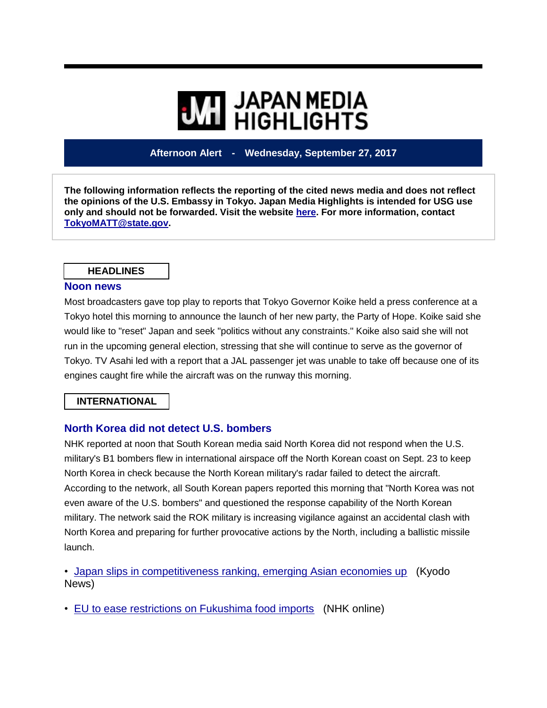# **WE HIGHLIGHTS**

## **Afternoon Alert - Wednesday, September 27, 2017**

**The following information reflects the reporting of the cited news media and does not reflect the opinions of the U.S. Embassy in Tokyo. Japan Media Highlights is intended for USG use only and should not be forwarded. Visit the website [here.](https://jmh.usembassy.gov/) For more information, contact [TokyoMATT@state.gov.](mailto:TokyoMATT@state.gov)**

#### **HEADLINES**

#### **Noon news**

Most broadcasters gave top play to reports that Tokyo Governor Koike held a press conference at a Tokyo hotel this morning to announce the launch of her new party, the Party of Hope. Koike said she would like to "reset" Japan and seek "politics without any constraints." Koike also said she will not run in the upcoming general election, stressing that she will continue to serve as the governor of Tokyo. TV Asahi led with a report that a JAL passenger jet was unable to take off because one of its engines caught fire while the aircraft was on the runway this morning.

### **INTERNATIONAL**

### **North Korea did not detect U.S. bombers**

NHK reported at noon that South Korean media said North Korea did not respond when the U.S. military's B1 bombers flew in international airspace off the North Korean coast on Sept. 23 to keep North Korea in check because the North Korean military's radar failed to detect the aircraft. According to the network, all South Korean papers reported this morning that "North Korea was not even aware of the U.S. bombers" and questioned the response capability of the North Korean military. The network said the ROK military is increasing vigilance against an accidental clash with North Korea and preparing for further provocative actions by the North, including a ballistic missile launch.

• [Japan slips in competitiveness ranking, emerging Asian economies up](https://jmh.usembassy.gov/2017092792245/) (Kyodo News)

• [EU to ease restrictions on Fukushima food imports](https://jmh.usembassy.gov/2017092792252/) (NHK online)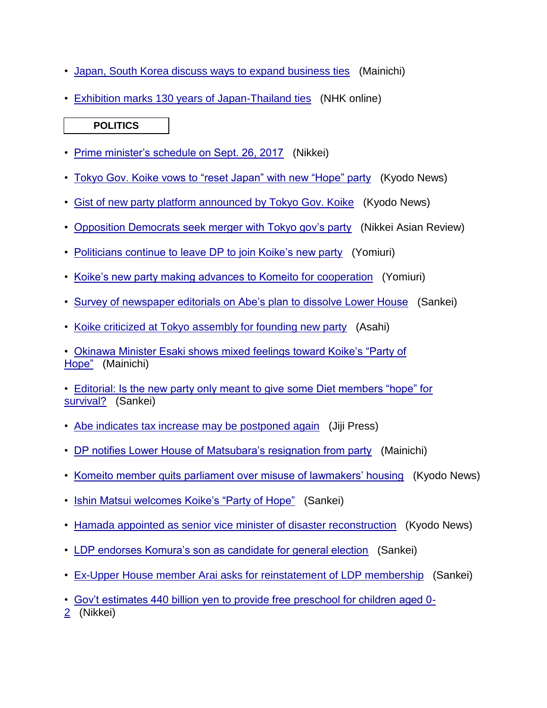- [Japan, South Korea discuss ways to expand business ties](https://jmh.usembassy.gov/2017092792316/) (Mainichi)
- [Exhibition marks 130 years of Japan-Thailand ties](https://jmh.usembassy.gov/2017092792242/) (NHK online)

## **POLITICS**

- [Prime minister's schedule on Sept. 26, 2017](https://jmh.usembassy.gov/2017092792257/) (Nikkei)
- [Tokyo Gov. Koike vows to "reset Japan" with new "Hope" party](https://jmh.usembassy.gov/2017092792303/) (Kyodo News)
- [Gist of new party platform announced by Tokyo Gov. Koike](https://jmh.usembassy.gov/2017092792305/) (Kyodo News)
- [Opposition Democrats seek merger with Tokyo gov's party](https://jmh.usembassy.gov/2017092792310/) (Nikkei Asian Review)
- [Politicians continue to leave DP to join Koike's new party](https://jmh.usembassy.gov/2017092792261/) (Yomiuri)
- [Koike's new party making advances to Komeito](https://jmh.usembassy.gov/2017092792263/) for cooperation (Yomiuri)
- [Survey of newspaper editorials on Abe's plan to dissolve Lower House](https://jmh.usembassy.gov/2017092792256/) (Sankei)
- [Koike criticized at Tokyo assembly for founding new party](https://jmh.usembassy.gov/2017092792279/) (Asahi)

• [Okinawa Minister Esaki shows mixed feelings toward Koike's "Party of](https://jmh.usembassy.gov/2017092792312/)  [Hope"](https://jmh.usembassy.gov/2017092792312/) (Mainichi)

• [Editorial: Is the new party only meant to give some Diet members "hope" for](https://jmh.usembassy.gov/2017092792275/)  [survival?](https://jmh.usembassy.gov/2017092792275/) (Sankei)

- [Abe indicates tax increase may be postponed again](https://jmh.usembassy.gov/2017092792233/) (Jiji Press)
- [DP notifies Lower House of Matsubara's resignation from party](https://jmh.usembassy.gov/2017092792249/) (Mainichi)
- [Komeito member quits parliament over misuse of lawmakers' housing](https://jmh.usembassy.gov/2017092792253/) (Kyodo News)
- [Ishin Matsui welcomes Koike's "Party of Hope"](https://jmh.usembassy.gov/2017092792284/) (Sankei)
- [Hamada appointed as senior vice minister of disaster reconstruction](https://jmh.usembassy.gov/2017092792304/) (Kyodo News)
- [LDP endorses Komura's son as candidate for general election](https://jmh.usembassy.gov/2017092792286/) (Sankei)
- [Ex-Upper House member Arai asks for reinstatement of LDP membership](https://jmh.usembassy.gov/2017092792292/) (Sankei)
- [Gov't estimates 440 billion yen to provide free preschool for children aged 0-](https://jmh.usembassy.gov/2017092792262/)

[2](https://jmh.usembassy.gov/2017092792262/) (Nikkei)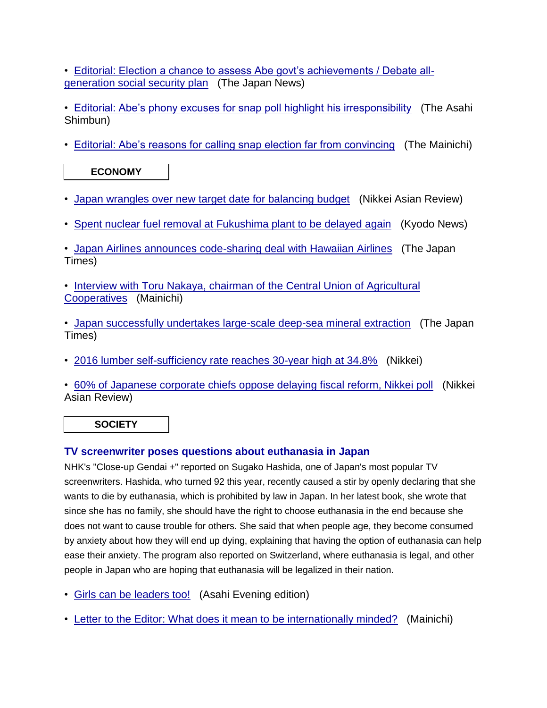• [Editorial: Election a chance to assess Abe govt's achievements / Debate all](https://jmh.usembassy.gov/2017092792246/)[generation social security plan](https://jmh.usembassy.gov/2017092792246/) (The Japan News)

• [Editorial: Abe's phony excuses for snap poll highlight his irresponsibility](https://jmh.usembassy.gov/2017092792315/) (The Asahi Shimbun)

• [Editorial: Abe's reasons for calling snap election far from convincing](https://jmh.usembassy.gov/2017092792247/) (The Mainichi)

**ECONOMY**

- Japan wrangles over new [target date for balancing budget](https://jmh.usembassy.gov/2017092792267/) (Nikkei Asian Review)
- Spent nuclear fuel removal at **Fukushima plant to be delayed again** (Kyodo News)

• [Japan Airlines announces code-sharing deal with Hawaiian Airlines](https://jmh.usembassy.gov/2017092792239/) (The Japan Times)

• [Interview with Toru Nakaya, chairman of the Central Union of Agricultural](https://jmh.usembassy.gov/2017092792293/)  [Cooperatives](https://jmh.usembassy.gov/2017092792293/) (Mainichi)

• [Japan successfully undertakes large-scale deep-sea mineral extraction](https://jmh.usembassy.gov/2017092792243/) (The Japan Times)

• [2016 lumber self-sufficiency rate reaches 30-year high at 34.8%](https://jmh.usembassy.gov/2017092792255/) (Nikkei)

• [60% of Japanese corporate chiefs oppose delaying fiscal reform, Nikkei poll](https://jmh.usembassy.gov/2017092792265/) (Nikkei Asian Review)

**SOCIETY**

## **TV screenwriter poses questions about euthanasia in Japan**

NHK's "Close-up Gendai +" reported on Sugako Hashida, one of Japan's most popular TV screenwriters. Hashida, who turned 92 this year, recently caused a stir by openly declaring that she wants to die by euthanasia, which is prohibited by law in Japan. In her latest book, she wrote that since she has no family, she should have the right to choose euthanasia in the end because she does not want to cause trouble for others. She said that when people age, they become consumed by anxiety about how they will end up dying, explaining that having the option of euthanasia can help ease their anxiety. The program also reported on Switzerland, where euthanasia is legal, and other people in Japan who are hoping that euthanasia will be legalized in their nation.

- [Girls can be leaders too!](https://jmh.usembassy.gov/2017092792306/) (Asahi Evening edition)
- [Letter to the Editor: What does it mean to](https://jmh.usembassy.gov/2017092792259/) be internationally minded? (Mainichi)